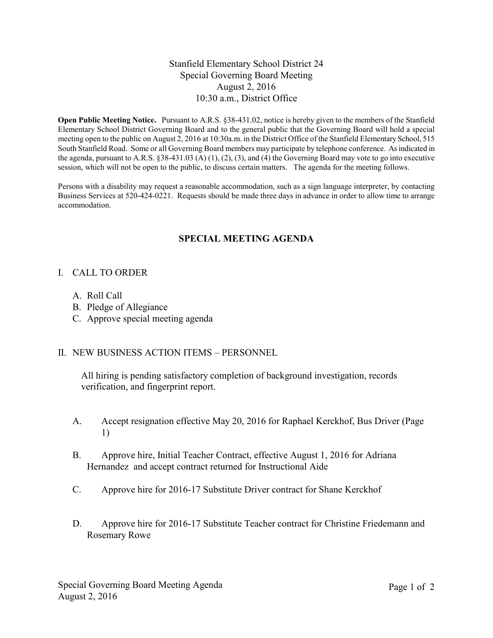## Stanfield Elementary School District 24 Special Governing Board Meeting August 2, 2016 10:30 a.m., District Office

**Open Public Meeting Notice.** Pursuant to A.R.S. §38-431.02, notice is hereby given to the members of the Stanfield Elementary School District Governing Board and to the general public that the Governing Board will hold a special meeting open to the public on August 2, 2016 at 10:30a.m. in the District Office of the Stanfield Elementary School, 515 South Stanfield Road. Some or all Governing Board members may participate by telephone conference. As indicated in the agenda, pursuant to A.R.S. §38-431.03 (A) (1), (2), (3), and (4) the Governing Board may vote to go into executive session, which will not be open to the public, to discuss certain matters. The agenda for the meeting follows.

Persons with a disability may request a reasonable accommodation, such as a sign language interpreter, by contacting Business Services at 520-424-0221. Requests should be made three days in advance in order to allow time to arrange accommodation.

# **SPECIAL MEETING AGENDA**

## I. CALL TO ORDER

- A. Roll Call
- B. Pledge of Allegiance
- C. Approve special meeting agenda

## II. NEW BUSINESS ACTION ITEMS – PERSONNEL

All hiring is pending satisfactory completion of background investigation, records verification, and fingerprint report.

- A. Accept resignation effective May 20, 2016 for Raphael Kerckhof, Bus Driver (Page 1)
- B. Approve hire, Initial Teacher Contract, effective August 1, 2016 for Adriana Hernandez and accept contract returned for Instructional Aide
- C. Approve hire for 2016-17 Substitute Driver contract for Shane Kerckhof
- D. Approve hire for 2016-17 Substitute Teacher contract for Christine Friedemann and Rosemary Rowe